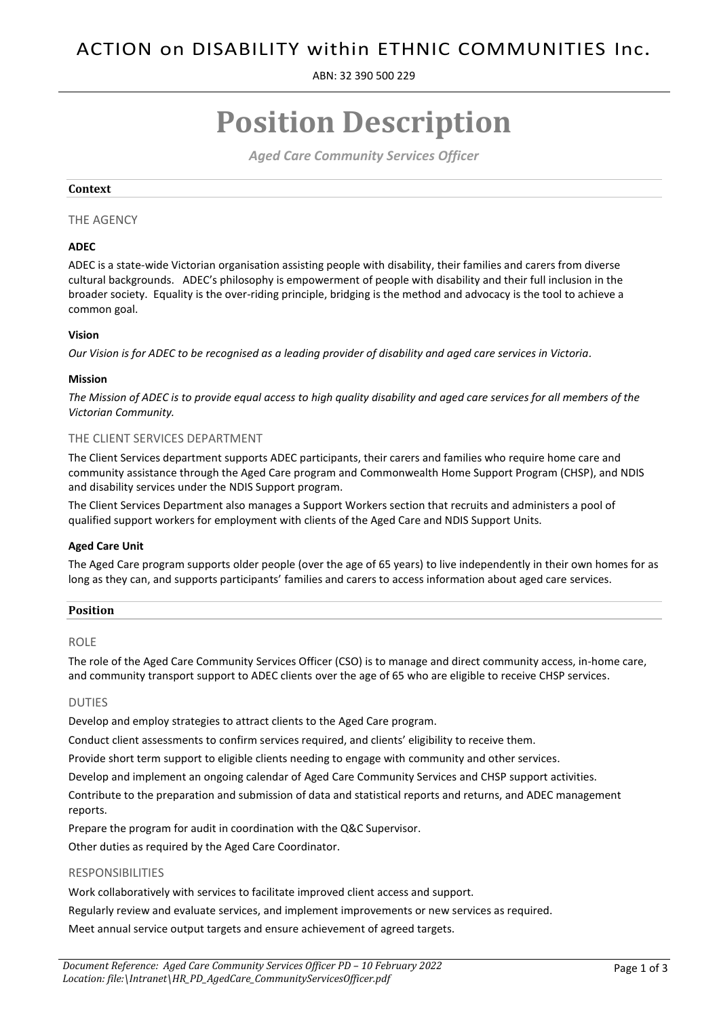ABN: 32 390 500 229

# **Position Description**

*Aged Care Community Services Officer*

#### **Context**

## THE AGENCY

## **ADEC**

ADEC is a state-wide Victorian organisation assisting people with disability, their families and carers from diverse cultural backgrounds. ADEC's philosophy is empowerment of people with disability and their full inclusion in the broader society. Equality is the over-riding principle, bridging is the method and advocacy is the tool to achieve a common goal.

#### **Vision**

*Our Vision is for ADEC to be recognised as a leading provider of disability and aged care services in Victoria.*

#### **Mission**

*The Mission of ADEC is to provide equal access to high quality disability and aged care services for all members of the Victorian Community.*

# THE CLIENT SERVICES DEPARTMENT

The Client Services department supports ADEC participants, their carers and families who require home care and community assistance through the Aged Care program and Commonwealth Home Support Program (CHSP), and NDIS and disability services under the NDIS Support program.

The Client Services Department also manages a Support Workers section that recruits and administers a pool of qualified support workers for employment with clients of the Aged Care and NDIS Support Units.

#### **Aged Care Unit**

The Aged Care program supports older people (over the age of 65 years) to live independently in their own homes for as long as they can, and supports participants' families and carers to access information about aged care services.

#### ROLE

The role of the Aged Care Community Services Officer (CSO) is to manage and direct community access, in-home care, and community transport support to ADEC clients over the age of 65 who are eligible to receive CHSP services.

#### DUTIES

Develop and employ strategies to attract clients to the Aged Care program.

Conduct client assessments to confirm services required, and clients' eligibility to receive them.

Provide short term support to eligible clients needing to engage with community and other services.

Develop and implement an ongoing calendar of Aged Care Community Services and CHSP support activities.

Contribute to the preparation and submission of data and statistical reports and returns, and ADEC management reports.

Prepare the program for audit in coordination with the Q&C Supervisor.

Other duties as required by the Aged Care Coordinator.

#### RESPONSIBILITIES

Work collaboratively with services to facilitate improved client access and support.

Regularly review and evaluate services, and implement improvements or new services as required.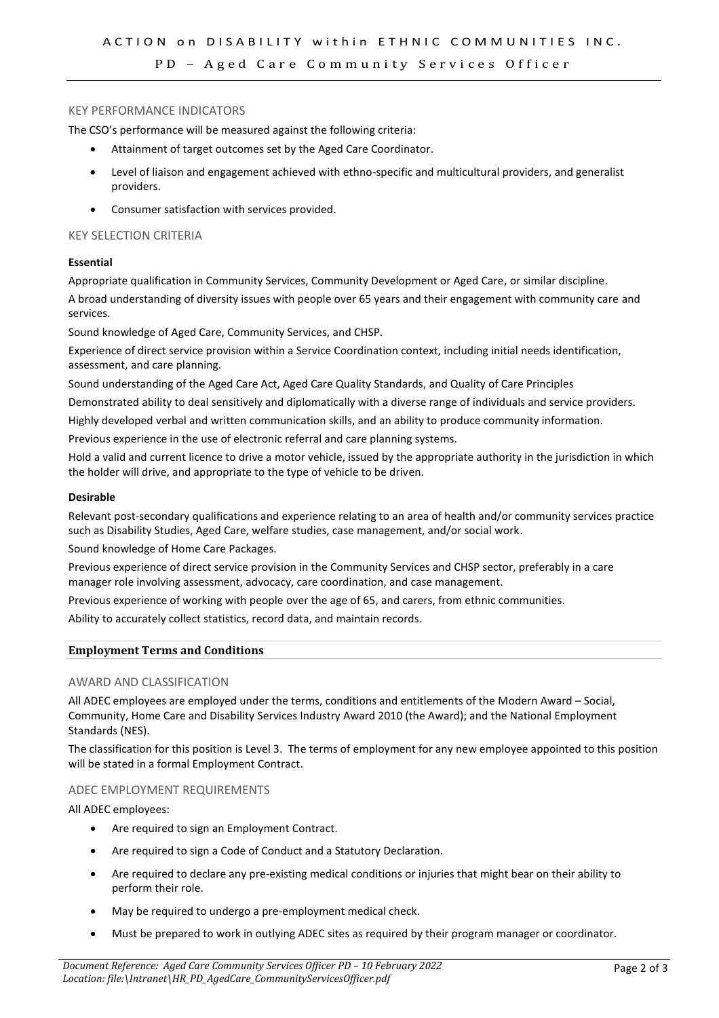#### PD - Aged Care Community Services Officer

#### KEY PERFORMANCE INDICATORS

The CSO's performance will be measured against the following criteria:

- Attainment of target outcomes set by the Aged Care Coordinator.
- Level of liaison and engagement achieved with ethno-specific and multicultural providers, and generalist providers.
- Consumer satisfaction with services provided.

#### KEY SELECTION CRITERIA

## **Essential**

Appropriate qualification in Community Services, Community Development or Aged Care, or similar discipline. A broad understanding of diversity issues with people over 65 years and their engagement with community care and services.

Sound knowledge of Aged Care, Community Services, and CHSP.

Experience of direct service provision within a Service Coordination context, including initial needs identification, assessment, and care planning.

Sound understanding of the Aged Care Act, Aged Care Quality Standards, and Quality of Care Principles Demonstrated ability to deal sensitively and diplomatically with a diverse range of individuals and service providers.

Highly developed verbal and written communication skills, and an ability to produce community information.

Previous experience in the use of electronic referral and care planning systems.

Hold a valid and current licence to drive a motor vehicle, issued by the appropriate authority in the jurisdiction in which the holder will drive, and appropriate to the type of vehicle to be driven.

#### **Desirable**

Relevant post-secondary qualifications and experience relating to an area of health and/or community services practice such as Disability Studies, Aged Care, welfare studies, case management, and/or social work.

Sound knowledge of Home Care Packages.

Previous experience of direct service provision in the Community Services and CHSP sector, preferably in a care manager role involving assessment, advocacy, care coordination, and case management.

Previous experience of working with people over the age of 65, and carers, from ethnic communities.

Ability to accurately collect statistics, record data, and maintain records.

#### **Employment Terms and Conditions**

#### AWARD AND CLASSIFICATION

All ADEC employees are employed under the terms, conditions and entitlements of the Modern Award – Social, Community, Home Care and Disability Services Industry Award 2010 (the Award); and the National Employment Standards (NES).

The classification for this position is Level 3. The terms of employment for any new employee appointed to this position will be stated in a formal Employment Contract.

#### ADEC EMPLOYMENT REQUIREMENTS

All ADEC employees:

- Are required to sign an Employment Contract.
- Are required to sign a Code of Conduct and a Statutory Declaration.
- Are required to declare any pre-existing medical conditions or injuries that might bear on their ability to perform their role.
- May be required to undergo a pre-employment medical check.
- Must be prepared to work in outlying ADEC sites as required by their program manager or coordinator.